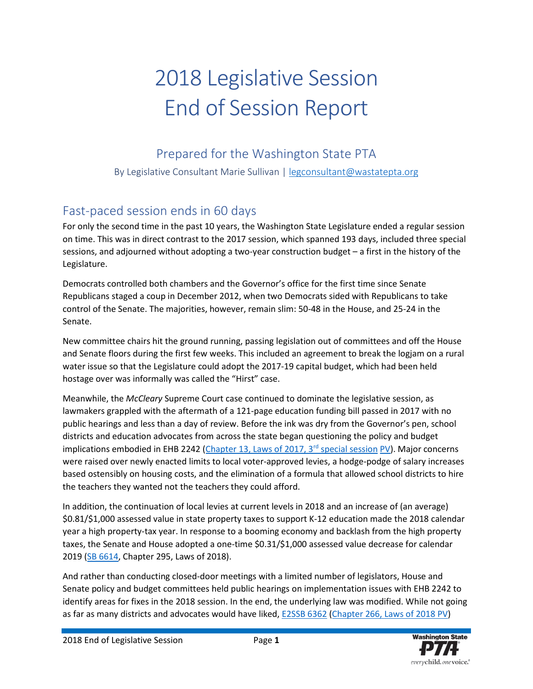# 2018 Legislative Session End of Session Report

Prepared for the Washington State PTA

By Legislative Consultant Marie Sullivan | [legconsultant@wastatepta.org](mailto:legconsultant@wastatepta.org)

### Fast-paced session ends in 60 days

For only the second time in the past 10 years, the Washington State Legislature ended a regular session on time. This was in direct contrast to the 2017 session, which spanned 193 days, included three special sessions, and adjourned without adopting a two-year construction budget – a first in the history of the Legislature.

Democrats controlled both chambers and the Governor's office for the first time since Senate Republicans staged a coup in December 2012, when two Democrats sided with Republicans to take control of the Senate. The majorities, however, remain slim: 50-48 in the House, and 25-24 in the Senate.

New committee chairs hit the ground running, passing legislation out of committees and off the House and Senate floors during the first few weeks. This included an agreement to break the logjam on a rural water issue so that the Legislature could adopt the 2017-19 capital budget, which had been held hostage over was informally was called the "Hirst" case.

Meanwhile, the *McCleary* Supreme Court case continued to dominate the legislative session, as lawmakers grappled with the aftermath of a 121-page education funding bill passed in 2017 with no public hearings and less than a day of review. Before the ink was dry from the Governor's pen, school districts and education advocates from across the state began questioning the policy and budget implications embodied in EHB 2242 (Chapter 13, Laws of 2017,  $3<sup>rd</sup>$  special session [PV\)](http://lawfilesext.leg.wa.gov/biennium/2017-18/Pdf/Bills/Vetoes/House/2242.VTO.pdf). Major concerns were raised over newly enacted limits to local voter-approved levies, a hodge-podge of salary increases based ostensibly on housing costs, and the elimination of a formula that allowed school districts to hire the teachers they wanted not the teachers they could afford.

In addition, the continuation of local levies at current levels in 2018 and an increase of (an average) \$0.81/\$1,000 assessed value in state property taxes to support K-12 education made the 2018 calendar year a high property-tax year. In response to a booming economy and backlash from the high property taxes, the Senate and House adopted a one-time \$0.31/\$1,000 assessed value decrease for calendar 2019 [\(SB 6614,](http://apps2.leg.wa.gov/billsummary?BillNumber=6614&Year=2017) Chapter 295, Laws of 2018).

And rather than conducting closed-door meetings with a limited number of legislators, House and Senate policy and budget committees held public hearings on implementation issues with EHB 2242 to identify areas for fixes in the 2018 session. In the end, the underlying law was modified. While not going as far as many districts and advocates would have liked, [E2SSB 6362](http://apps2.leg.wa.gov/billsummary?BillNumber=6362&Year=2017) [\(Chapter 266, Laws of 2018 PV\)](http://lawfilesext.leg.wa.gov/biennium/2017-18/Pdf/Bills/Session%20Laws/Senate/6362-S2.SL.pdf)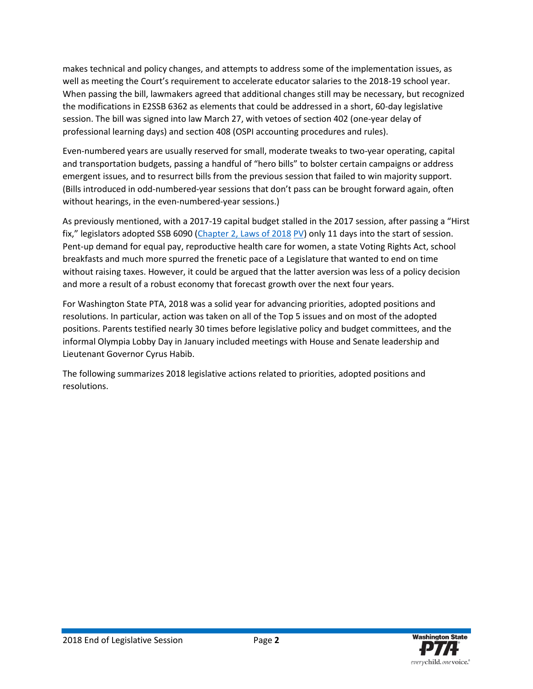makes technical and policy changes, and attempts to address some of the implementation issues, as well as meeting the Court's requirement to accelerate educator salaries to the 2018-19 school year. When passing the bill, lawmakers agreed that additional changes still may be necessary, but recognized the modifications in E2SSB 6362 as elements that could be addressed in a short, 60-day legislative session. The bill was signed into law March 27, with vetoes of section 402 (one-year delay of professional learning days) and section 408 (OSPI accounting procedures and rules).

Even-numbered years are usually reserved for small, moderate tweaks to two-year operating, capital and transportation budgets, passing a handful of "hero bills" to bolster certain campaigns or address emergent issues, and to resurrect bills from the previous session that failed to win majority support. (Bills introduced in odd-numbered-year sessions that don't pass can be brought forward again, often without hearings, in the even-numbered-year sessions.)

As previously mentioned, with a 2017-19 capital budget stalled in the 2017 session, after passing a "Hirst fix," legislators adopted SSB 6090 [\(Chapter 2, Laws of 2018](http://lawfilesext.leg.wa.gov/biennium/2017-18/Pdf/Bills/Senate%20Passed%20Legislature/6090-S.PL.pdf) [PV\)](http://lawfilesext.leg.wa.gov/biennium/2017-18/Pdf/Bills/Vetoes/Senate/6090-S.VTO.pdf) only 11 days into the start of session. Pent-up demand for equal pay, reproductive health care for women, a state Voting Rights Act, school breakfasts and much more spurred the frenetic pace of a Legislature that wanted to end on time without raising taxes. However, it could be argued that the latter aversion was less of a policy decision and more a result of a robust economy that forecast growth over the next four years.

For Washington State PTA, 2018 was a solid year for advancing priorities, adopted positions and resolutions. In particular, action was taken on all of the Top 5 issues and on most of the adopted positions. Parents testified nearly 30 times before legislative policy and budget committees, and the informal Olympia Lobby Day in January included meetings with House and Senate leadership and Lieutenant Governor Cyrus Habib.

The following summarizes 2018 legislative actions related to priorities, adopted positions and resolutions.

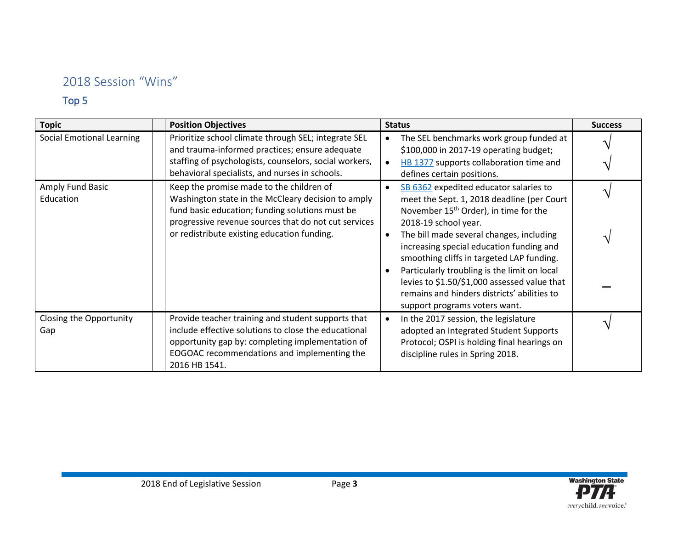#### 2018 Session "Wins"

#### Top 5

| <b>Topic</b>                     | <b>Position Objectives</b>                                                                                                                                                                                                                               | <b>Status</b>                                                                                                                                                                                                                                                                                                                                                                                                                                                                          | <b>Success</b> |
|----------------------------------|----------------------------------------------------------------------------------------------------------------------------------------------------------------------------------------------------------------------------------------------------------|----------------------------------------------------------------------------------------------------------------------------------------------------------------------------------------------------------------------------------------------------------------------------------------------------------------------------------------------------------------------------------------------------------------------------------------------------------------------------------------|----------------|
| <b>Social Emotional Learning</b> | Prioritize school climate through SEL; integrate SEL<br>and trauma-informed practices; ensure adequate<br>staffing of psychologists, counselors, social workers,<br>behavioral specialists, and nurses in schools.                                       | The SEL benchmarks work group funded at<br>$\bullet$<br>\$100,000 in 2017-19 operating budget;<br>HB 1377 supports collaboration time and<br>defines certain positions.                                                                                                                                                                                                                                                                                                                |                |
| Amply Fund Basic<br>Education    | Keep the promise made to the children of<br>Washington state in the McCleary decision to amply<br>fund basic education; funding solutions must be<br>progressive revenue sources that do not cut services<br>or redistribute existing education funding. | SB 6362 expedited educator salaries to<br>meet the Sept. 1, 2018 deadline (per Court<br>November 15 <sup>th</sup> Order), in time for the<br>2018-19 school year.<br>The bill made several changes, including<br>increasing special education funding and<br>smoothing cliffs in targeted LAP funding.<br>Particularly troubling is the limit on local<br>levies to \$1.50/\$1,000 assessed value that<br>remains and hinders districts' abilities to<br>support programs voters want. |                |
| Closing the Opportunity<br>Gap   | Provide teacher training and student supports that<br>include effective solutions to close the educational<br>opportunity gap by: completing implementation of<br>EOGOAC recommendations and implementing the<br>2016 HB 1541.                           | In the 2017 session, the legislature<br>adopted an Integrated Student Supports<br>Protocol; OSPI is holding final hearings on<br>discipline rules in Spring 2018.                                                                                                                                                                                                                                                                                                                      |                |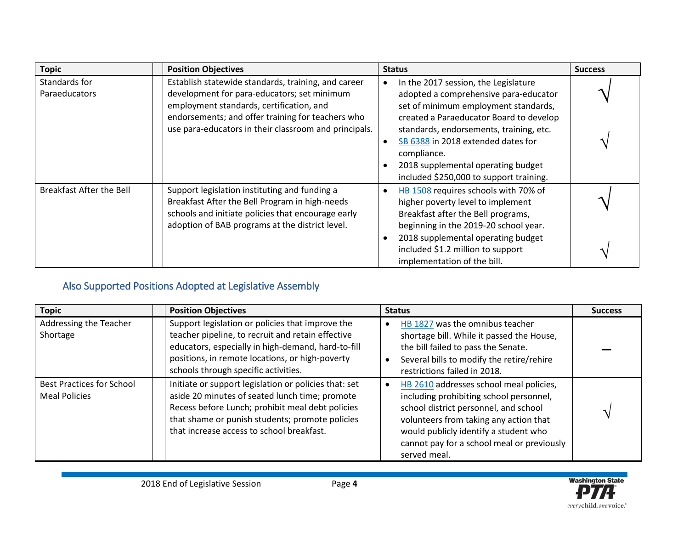| <b>Topic</b>                    | <b>Position Objectives</b>                                                                                                                                                                                                                                   | <b>Status</b>                                                                                                                                                                                                                                                                                                 | <b>Success</b>  |
|---------------------------------|--------------------------------------------------------------------------------------------------------------------------------------------------------------------------------------------------------------------------------------------------------------|---------------------------------------------------------------------------------------------------------------------------------------------------------------------------------------------------------------------------------------------------------------------------------------------------------------|-----------------|
| Standards for<br>Paraeducators  | Establish statewide standards, training, and career<br>development for para-educators; set minimum<br>employment standards, certification, and<br>endorsements; and offer training for teachers who<br>use para-educators in their classroom and principals. | In the 2017 session, the Legislature<br>adopted a comprehensive para-educator<br>set of minimum employment standards,<br>created a Paraeducator Board to develop<br>standards, endorsements, training, etc.<br>SB 6388 in 2018 extended dates for<br>compliance.<br>2018 supplemental operating budget        | $\triangleleft$ |
| <b>Breakfast After the Bell</b> | Support legislation instituting and funding a<br>Breakfast After the Bell Program in high-needs<br>schools and initiate policies that encourage early<br>adoption of BAB programs at the district level.                                                     | included \$250,000 to support training.<br>HB 1508 requires schools with 70% of<br>higher poverty level to implement<br>Breakfast after the Bell programs,<br>beginning in the 2019-20 school year.<br>2018 supplemental operating budget<br>included \$1.2 million to support<br>implementation of the bill. |                 |

#### Also Supported Positions Adopted at Legislative Assembly

| <b>Topic</b>                                             | <b>Position Objectives</b>                                                                                                                                                                                                                                  | <b>Status</b>                                                                                                                                                                                                                                                                | <b>Success</b> |
|----------------------------------------------------------|-------------------------------------------------------------------------------------------------------------------------------------------------------------------------------------------------------------------------------------------------------------|------------------------------------------------------------------------------------------------------------------------------------------------------------------------------------------------------------------------------------------------------------------------------|----------------|
| Addressing the Teacher<br>Shortage                       | Support legislation or policies that improve the<br>teacher pipeline, to recruit and retain effective<br>educators, especially in high-demand, hard-to-fill<br>positions, in remote locations, or high-poverty<br>schools through specific activities.      | HB 1827 was the omnibus teacher<br>shortage bill. While it passed the House,<br>the bill failed to pass the Senate.<br>Several bills to modify the retire/rehire<br>restrictions failed in 2018.                                                                             |                |
| <b>Best Practices for School</b><br><b>Meal Policies</b> | Initiate or support legislation or policies that: set<br>aside 20 minutes of seated lunch time; promote<br>Recess before Lunch; prohibit meal debt policies<br>that shame or punish students; promote policies<br>that increase access to school breakfast. | HB 2610 addresses school meal policies,<br>including prohibiting school personnel,<br>school district personnel, and school<br>volunteers from taking any action that<br>would publicly identify a student who<br>cannot pay for a school meal or previously<br>served meal. |                |

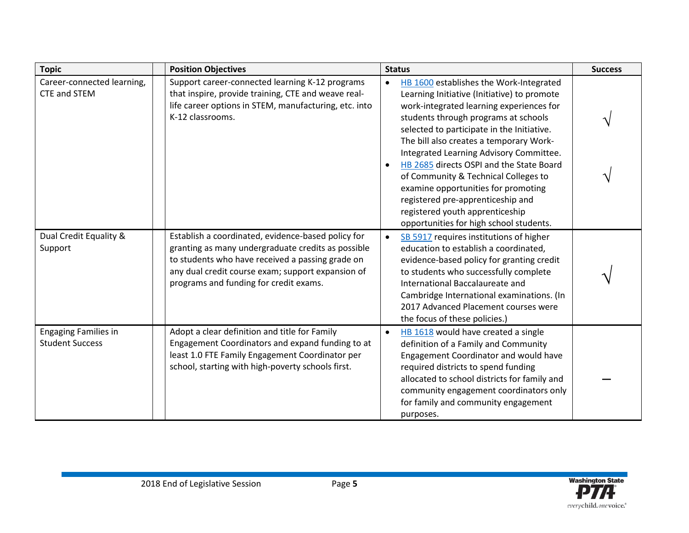| <b>Topic</b>                                          | <b>Position Objectives</b>                                                                                                                                                                                                                                  | <b>Status</b>                                                                                                                                                                                                                                                                                                                                                                                                                                                                                                                                                             | <b>Success</b> |
|-------------------------------------------------------|-------------------------------------------------------------------------------------------------------------------------------------------------------------------------------------------------------------------------------------------------------------|---------------------------------------------------------------------------------------------------------------------------------------------------------------------------------------------------------------------------------------------------------------------------------------------------------------------------------------------------------------------------------------------------------------------------------------------------------------------------------------------------------------------------------------------------------------------------|----------------|
| Career-connected learning,<br>CTE and STEM            | Support career-connected learning K-12 programs<br>that inspire, provide training, CTE and weave real-<br>life career options in STEM, manufacturing, etc. into<br>K-12 classrooms.                                                                         | HB 1600 establishes the Work-Integrated<br>$\bullet$<br>Learning Initiative (Initiative) to promote<br>work-integrated learning experiences for<br>students through programs at schools<br>selected to participate in the Initiative.<br>The bill also creates a temporary Work-<br>Integrated Learning Advisory Committee.<br>HB 2685 directs OSPI and the State Board<br>of Community & Technical Colleges to<br>examine opportunities for promoting<br>registered pre-apprenticeship and<br>registered youth apprenticeship<br>opportunities for high school students. |                |
| Dual Credit Equality &<br>Support                     | Establish a coordinated, evidence-based policy for<br>granting as many undergraduate credits as possible<br>to students who have received a passing grade on<br>any dual credit course exam; support expansion of<br>programs and funding for credit exams. | SB 5917 requires institutions of higher<br>$\bullet$<br>education to establish a coordinated,<br>evidence-based policy for granting credit<br>to students who successfully complete<br>International Baccalaureate and<br>Cambridge International examinations. (In<br>2017 Advanced Placement courses were<br>the focus of these policies.)                                                                                                                                                                                                                              |                |
| <b>Engaging Families in</b><br><b>Student Success</b> | Adopt a clear definition and title for Family<br>Engagement Coordinators and expand funding to at<br>least 1.0 FTE Family Engagement Coordinator per<br>school, starting with high-poverty schools first.                                                   | HB 1618 would have created a single<br>$\bullet$<br>definition of a Family and Community<br>Engagement Coordinator and would have<br>required districts to spend funding<br>allocated to school districts for family and<br>community engagement coordinators only<br>for family and community engagement<br>purposes.                                                                                                                                                                                                                                                    |                |

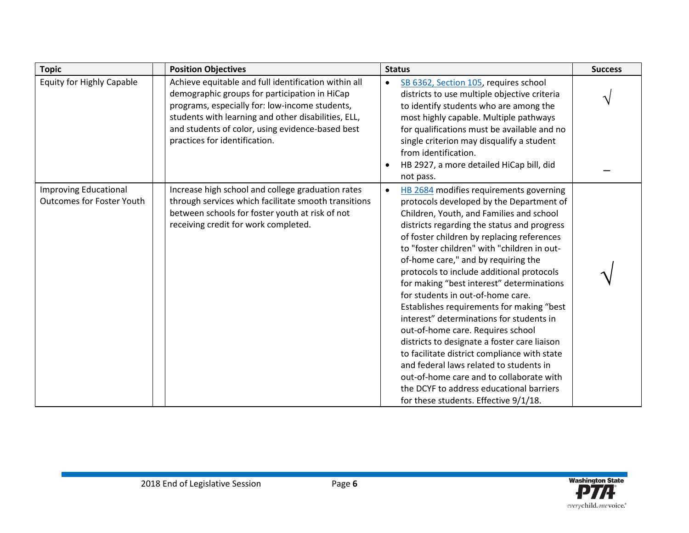| <b>Topic</b>                                                     | <b>Position Objectives</b>                                                                                                                                                                                                                                                                          | <b>Status</b>                                                                                                                                                                                                                                                                                                                                                                                                                                                                                                                                                                                                                                                                                                                                                                                                                                                            | <b>Success</b> |
|------------------------------------------------------------------|-----------------------------------------------------------------------------------------------------------------------------------------------------------------------------------------------------------------------------------------------------------------------------------------------------|--------------------------------------------------------------------------------------------------------------------------------------------------------------------------------------------------------------------------------------------------------------------------------------------------------------------------------------------------------------------------------------------------------------------------------------------------------------------------------------------------------------------------------------------------------------------------------------------------------------------------------------------------------------------------------------------------------------------------------------------------------------------------------------------------------------------------------------------------------------------------|----------------|
| <b>Equity for Highly Capable</b>                                 | Achieve equitable and full identification within all<br>demographic groups for participation in HiCap<br>programs, especially for: low-income students,<br>students with learning and other disabilities, ELL,<br>and students of color, using evidence-based best<br>practices for identification. | SB 6362, Section 105, requires school<br>$\bullet$<br>districts to use multiple objective criteria<br>to identify students who are among the<br>most highly capable. Multiple pathways<br>for qualifications must be available and no<br>single criterion may disqualify a student<br>from identification.<br>HB 2927, a more detailed HiCap bill, did<br>not pass.                                                                                                                                                                                                                                                                                                                                                                                                                                                                                                      |                |
| <b>Improving Educational</b><br><b>Outcomes for Foster Youth</b> | Increase high school and college graduation rates<br>through services which facilitate smooth transitions<br>between schools for foster youth at risk of not<br>receiving credit for work completed.                                                                                                | HB 2684 modifies requirements governing<br>$\bullet$<br>protocols developed by the Department of<br>Children, Youth, and Families and school<br>districts regarding the status and progress<br>of foster children by replacing references<br>to "foster children" with "children in out-<br>of-home care," and by requiring the<br>protocols to include additional protocols<br>for making "best interest" determinations<br>for students in out-of-home care.<br>Establishes requirements for making "best<br>interest" determinations for students in<br>out-of-home care. Requires school<br>districts to designate a foster care liaison<br>to facilitate district compliance with state<br>and federal laws related to students in<br>out-of-home care and to collaborate with<br>the DCYF to address educational barriers<br>for these students. Effective 9/1/18. |                |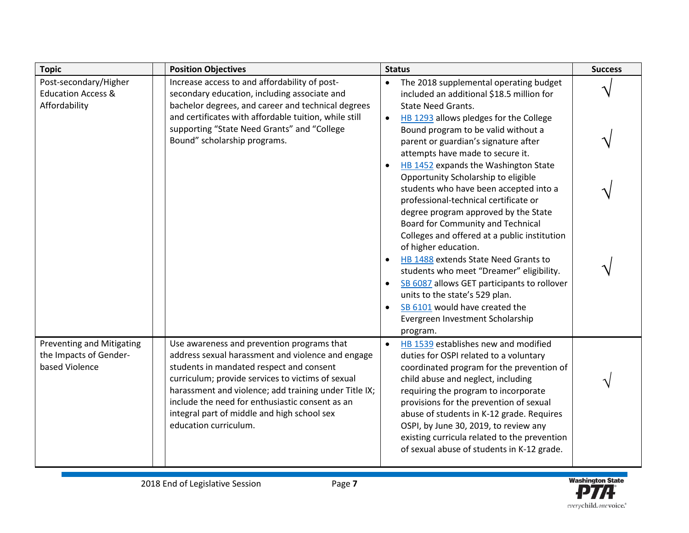| <b>Topic</b>                                                                 | <b>Position Objectives</b>                                                                                                                                                                                                                                                                                                                                                           | <b>Status</b>                                                                                                                                                                                                                                                                                                                                                                                                                                                                                                                                                                                                                                                                                                                                                                                  | <b>Success</b> |
|------------------------------------------------------------------------------|--------------------------------------------------------------------------------------------------------------------------------------------------------------------------------------------------------------------------------------------------------------------------------------------------------------------------------------------------------------------------------------|------------------------------------------------------------------------------------------------------------------------------------------------------------------------------------------------------------------------------------------------------------------------------------------------------------------------------------------------------------------------------------------------------------------------------------------------------------------------------------------------------------------------------------------------------------------------------------------------------------------------------------------------------------------------------------------------------------------------------------------------------------------------------------------------|----------------|
| Post-secondary/Higher<br><b>Education Access &amp;</b>                       | Increase access to and affordability of post-<br>secondary education, including associate and                                                                                                                                                                                                                                                                                        | The 2018 supplemental operating budget<br>$\bullet$<br>included an additional \$18.5 million for                                                                                                                                                                                                                                                                                                                                                                                                                                                                                                                                                                                                                                                                                               |                |
| Affordability                                                                | bachelor degrees, and career and technical degrees<br>and certificates with affordable tuition, while still<br>supporting "State Need Grants" and "College<br>Bound" scholarship programs.                                                                                                                                                                                           | <b>State Need Grants.</b><br>HB 1293 allows pledges for the College<br>$\bullet$<br>Bound program to be valid without a<br>parent or guardian's signature after<br>attempts have made to secure it.<br>HB 1452 expands the Washington State<br>Opportunity Scholarship to eligible<br>students who have been accepted into a<br>professional-technical certificate or<br>degree program approved by the State<br>Board for Community and Technical<br>Colleges and offered at a public institution<br>of higher education.<br>HB 1488 extends State Need Grants to<br>students who meet "Dreamer" eligibility.<br>SB 6087 allows GET participants to rollover<br>$\bullet$<br>units to the state's 529 plan.<br>SB 6101 would have created the<br>Evergreen Investment Scholarship<br>program. |                |
| <b>Preventing and Mitigating</b><br>the Impacts of Gender-<br>based Violence | Use awareness and prevention programs that<br>address sexual harassment and violence and engage<br>students in mandated respect and consent<br>curriculum; provide services to victims of sexual<br>harassment and violence; add training under Title IX;<br>include the need for enthusiastic consent as an<br>integral part of middle and high school sex<br>education curriculum. | HB 1539 establishes new and modified<br>$\bullet$<br>duties for OSPI related to a voluntary<br>coordinated program for the prevention of<br>child abuse and neglect, including<br>requiring the program to incorporate<br>provisions for the prevention of sexual<br>abuse of students in K-12 grade. Requires<br>OSPI, by June 30, 2019, to review any<br>existing curricula related to the prevention<br>of sexual abuse of students in K-12 grade.                                                                                                                                                                                                                                                                                                                                          |                |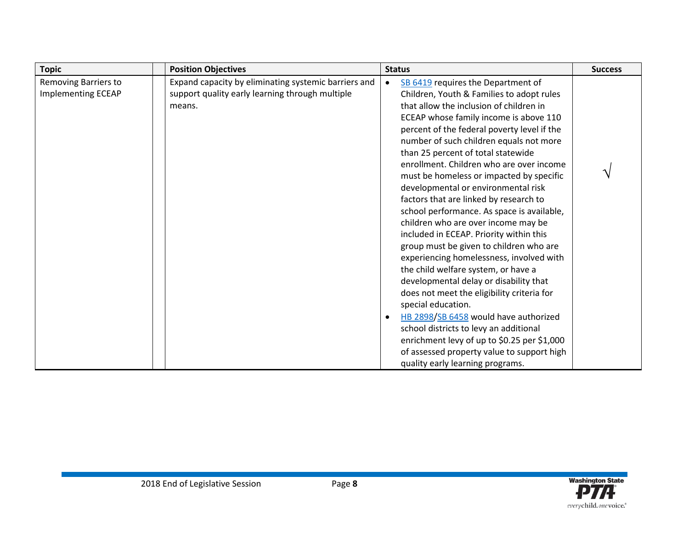| <b>Topic</b>                                      | <b>Position Objectives</b>                                                                                        | <b>Status</b>                                                                                                                                                                                                                                                                                                                                                                                                                                                                                                                                                                                                                                                                                                                                                                                                                                                                                                                                                                                                                                                                              | <b>Success</b> |
|---------------------------------------------------|-------------------------------------------------------------------------------------------------------------------|--------------------------------------------------------------------------------------------------------------------------------------------------------------------------------------------------------------------------------------------------------------------------------------------------------------------------------------------------------------------------------------------------------------------------------------------------------------------------------------------------------------------------------------------------------------------------------------------------------------------------------------------------------------------------------------------------------------------------------------------------------------------------------------------------------------------------------------------------------------------------------------------------------------------------------------------------------------------------------------------------------------------------------------------------------------------------------------------|----------------|
| Removing Barriers to<br><b>Implementing ECEAP</b> | Expand capacity by eliminating systemic barriers and<br>support quality early learning through multiple<br>means. | SB 6419 requires the Department of<br>$\bullet$<br>Children, Youth & Families to adopt rules<br>that allow the inclusion of children in<br>ECEAP whose family income is above 110<br>percent of the federal poverty level if the<br>number of such children equals not more<br>than 25 percent of total statewide<br>enrollment. Children who are over income<br>must be homeless or impacted by specific<br>developmental or environmental risk<br>factors that are linked by research to<br>school performance. As space is available,<br>children who are over income may be<br>included in ECEAP. Priority within this<br>group must be given to children who are<br>experiencing homelessness, involved with<br>the child welfare system, or have a<br>developmental delay or disability that<br>does not meet the eligibility criteria for<br>special education.<br>HB 2898/SB 6458 would have authorized<br>school districts to levy an additional<br>enrichment levy of up to \$0.25 per \$1,000<br>of assessed property value to support high<br>quality early learning programs. |                |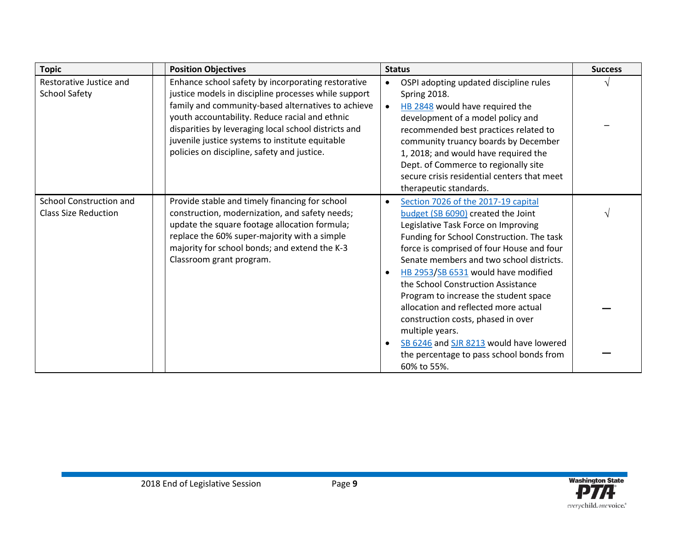| <b>Topic</b>                                           | <b>Position Objectives</b>                                                                                                                                                                                                                                                                                                                                                   | <b>Status</b>                                                                                                                                                                                                                                                                                                                                                                                                                                                                                                                                                                       | <b>Success</b> |
|--------------------------------------------------------|------------------------------------------------------------------------------------------------------------------------------------------------------------------------------------------------------------------------------------------------------------------------------------------------------------------------------------------------------------------------------|-------------------------------------------------------------------------------------------------------------------------------------------------------------------------------------------------------------------------------------------------------------------------------------------------------------------------------------------------------------------------------------------------------------------------------------------------------------------------------------------------------------------------------------------------------------------------------------|----------------|
| Restorative Justice and<br><b>School Safety</b>        | Enhance school safety by incorporating restorative<br>justice models in discipline processes while support<br>family and community-based alternatives to achieve<br>youth accountability. Reduce racial and ethnic<br>disparities by leveraging local school districts and<br>juvenile justice systems to institute equitable<br>policies on discipline, safety and justice. | OSPI adopting updated discipline rules<br>$\bullet$<br>Spring 2018.<br>HB 2848 would have required the<br>$\bullet$<br>development of a model policy and<br>recommended best practices related to<br>community truancy boards by December<br>1, 2018; and would have required the<br>Dept. of Commerce to regionally site<br>secure crisis residential centers that meet<br>therapeutic standards.                                                                                                                                                                                  |                |
| School Construction and<br><b>Class Size Reduction</b> | Provide stable and timely financing for school<br>construction, modernization, and safety needs;<br>update the square footage allocation formula;<br>replace the 60% super-majority with a simple<br>majority for school bonds; and extend the K-3<br>Classroom grant program.                                                                                               | Section 7026 of the 2017-19 capital<br>budget (SB 6090) created the Joint<br>Legislative Task Force on Improving<br>Funding for School Construction. The task<br>force is comprised of four House and four<br>Senate members and two school districts.<br>HB 2953/SB 6531 would have modified<br>the School Construction Assistance<br>Program to increase the student space<br>allocation and reflected more actual<br>construction costs, phased in over<br>multiple years.<br>SB 6246 and SJR 8213 would have lowered<br>the percentage to pass school bonds from<br>60% to 55%. |                |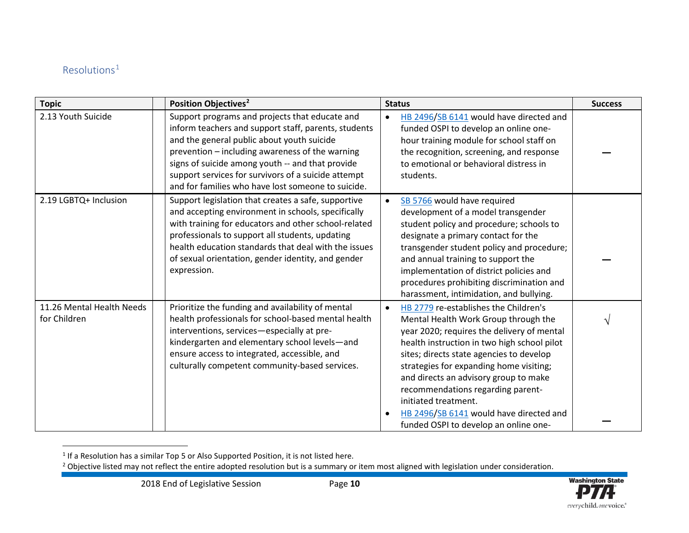#### <span id="page-9-1"></span><span id="page-9-0"></span> $Resolutions<sup>1</sup>$  $Resolutions<sup>1</sup>$  $Resolutions<sup>1</sup>$

| <b>Topic</b>                              | Position Objectives <sup>2</sup>                                                                                                                                                                                                                                                                                                                                         | <b>Status</b>                                                                                                                                                                                                                                                                                                                                                                                                                                                            | <b>Success</b> |
|-------------------------------------------|--------------------------------------------------------------------------------------------------------------------------------------------------------------------------------------------------------------------------------------------------------------------------------------------------------------------------------------------------------------------------|--------------------------------------------------------------------------------------------------------------------------------------------------------------------------------------------------------------------------------------------------------------------------------------------------------------------------------------------------------------------------------------------------------------------------------------------------------------------------|----------------|
| 2.13 Youth Suicide                        | Support programs and projects that educate and<br>inform teachers and support staff, parents, students<br>and the general public about youth suicide<br>prevention - including awareness of the warning<br>signs of suicide among youth -- and that provide<br>support services for survivors of a suicide attempt<br>and for families who have lost someone to suicide. | HB 2496/SB 6141 would have directed and<br>$\bullet$<br>funded OSPI to develop an online one-<br>hour training module for school staff on<br>the recognition, screening, and response<br>to emotional or behavioral distress in<br>students.                                                                                                                                                                                                                             |                |
| 2.19 LGBTQ+ Inclusion                     | Support legislation that creates a safe, supportive<br>and accepting environment in schools, specifically<br>with training for educators and other school-related<br>professionals to support all students, updating<br>health education standards that deal with the issues<br>of sexual orientation, gender identity, and gender<br>expression.                        | SB 5766 would have required<br>$\bullet$<br>development of a model transgender<br>student policy and procedure; schools to<br>designate a primary contact for the<br>transgender student policy and procedure;<br>and annual training to support the<br>implementation of district policies and<br>procedures prohibiting discrimination and<br>harassment, intimidation, and bullying.                                                                                  |                |
| 11.26 Mental Health Needs<br>for Children | Prioritize the funding and availability of mental<br>health professionals for school-based mental health<br>interventions, services-especially at pre-<br>kindergarten and elementary school levels-and<br>ensure access to integrated, accessible, and<br>culturally competent community-based services.                                                                | HB 2779 re-establishes the Children's<br>$\bullet$<br>Mental Health Work Group through the<br>year 2020; requires the delivery of mental<br>health instruction in two high school pilot<br>sites; directs state agencies to develop<br>strategies for expanding home visiting;<br>and directs an advisory group to make<br>recommendations regarding parent-<br>initiated treatment.<br>HB 2496/SB 6141 would have directed and<br>funded OSPI to develop an online one- |                |

 $1$  If a Resolution has a similar Top 5 or Also Supported Position, it is not listed here.



<sup>&</sup>lt;sup>2</sup> Objective listed may not reflect the entire adopted resolution but is a summary or item most aligned with legislation under consideration.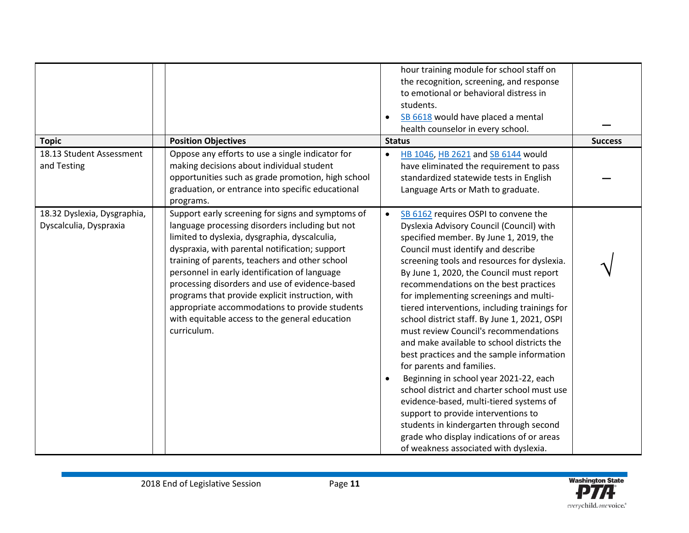| <b>Topic</b><br>18.13 Student Assessment<br>and Testing | <b>Position Objectives</b><br>Oppose any efforts to use a single indicator for<br>making decisions about individual student<br>opportunities such as grade promotion, high school<br>graduation, or entrance into specific educational<br>programs.                                                                                                                                                                                                                                                                                 | hour training module for school staff on<br>the recognition, screening, and response<br>to emotional or behavioral distress in<br>students.<br>SB 6618 would have placed a mental<br>health counselor in every school.<br><b>Status</b><br>HB 1046, HB 2621 and SB 6144 would<br>$\bullet$<br>have eliminated the requirement to pass<br>standardized statewide tests in English<br>Language Arts or Math to graduate.                                                                                                                                                                                                                                                                                                                                                                                                                                                                                                                                 | <b>Success</b> |
|---------------------------------------------------------|-------------------------------------------------------------------------------------------------------------------------------------------------------------------------------------------------------------------------------------------------------------------------------------------------------------------------------------------------------------------------------------------------------------------------------------------------------------------------------------------------------------------------------------|--------------------------------------------------------------------------------------------------------------------------------------------------------------------------------------------------------------------------------------------------------------------------------------------------------------------------------------------------------------------------------------------------------------------------------------------------------------------------------------------------------------------------------------------------------------------------------------------------------------------------------------------------------------------------------------------------------------------------------------------------------------------------------------------------------------------------------------------------------------------------------------------------------------------------------------------------------|----------------|
| 18.32 Dyslexia, Dysgraphia,<br>Dyscalculia, Dyspraxia   | Support early screening for signs and symptoms of<br>language processing disorders including but not<br>limited to dyslexia, dysgraphia, dyscalculia,<br>dyspraxia, with parental notification; support<br>training of parents, teachers and other school<br>personnel in early identification of language<br>processing disorders and use of evidence-based<br>programs that provide explicit instruction, with<br>appropriate accommodations to provide students<br>with equitable access to the general education<br>curriculum. | SB 6162 requires OSPI to convene the<br>$\bullet$<br>Dyslexia Advisory Council (Council) with<br>specified member. By June 1, 2019, the<br>Council must identify and describe<br>screening tools and resources for dyslexia.<br>By June 1, 2020, the Council must report<br>recommendations on the best practices<br>for implementing screenings and multi-<br>tiered interventions, including trainings for<br>school district staff. By June 1, 2021, OSPI<br>must review Council's recommendations<br>and make available to school districts the<br>best practices and the sample information<br>for parents and families.<br>Beginning in school year 2021-22, each<br>$\bullet$<br>school district and charter school must use<br>evidence-based, multi-tiered systems of<br>support to provide interventions to<br>students in kindergarten through second<br>grade who display indications of or areas<br>of weakness associated with dyslexia. |                |